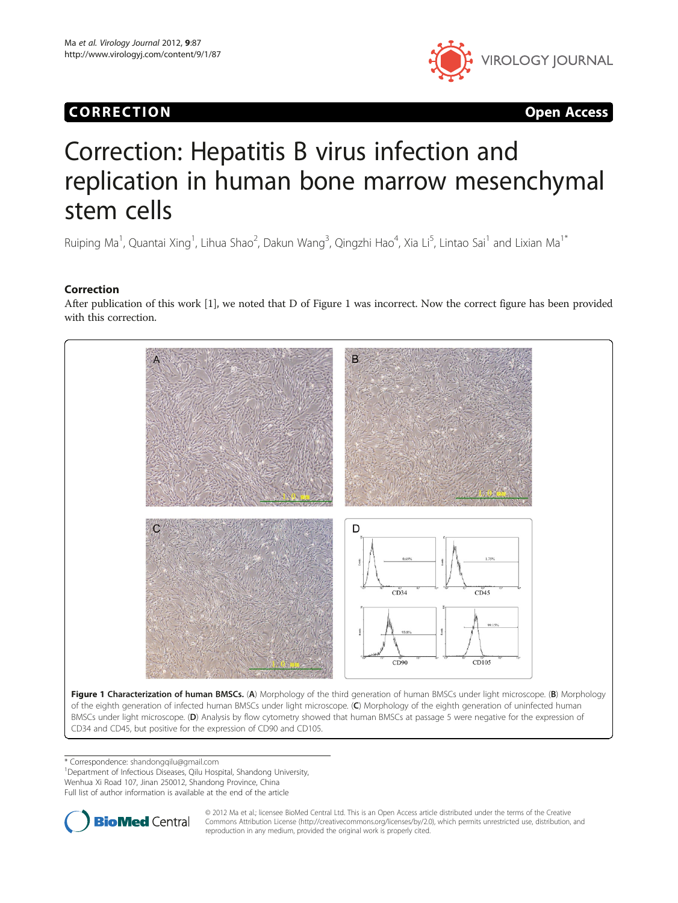# CORR EC TION Open Access



# Correction: Hepatitis B virus infection and replication in human bone marrow mesenchymal stem cells

Ruiping Ma<sup>1</sup>, Quantai Xing<sup>1</sup>, Lihua Shao<sup>2</sup>, Dakun Wang<sup>3</sup>, Qingzhi Hao<sup>4</sup>, Xia Li<sup>5</sup>, Lintao Sai<sup>1</sup> and Lixian Ma<sup>1\*</sup>

### Correction

After publication of this work [[1](#page-1-0)], we noted that D of Figure 1 was incorrect. Now the correct figure has been provided with this correction.



\* Correspondence: [shandongqilu@gmail.com](mailto:shandongqilu@gmail.com) <sup>1</sup>

<sup>1</sup>Department of Infectious Diseases, Qilu Hospital, Shandong University, Wenhua Xi Road 107, Jinan 250012, Shandong Province, China Full list of author information is available at the end of the article



© 2012 Ma et al.; licensee BioMed Central Ltd. This is an Open Access article distributed under the terms of the Creative Commons Attribution License (http://creativecommons.org/licenses/by/2.0), which permits unrestricted use, distribution, and reproduction in any medium, provided the original work is properly cited.